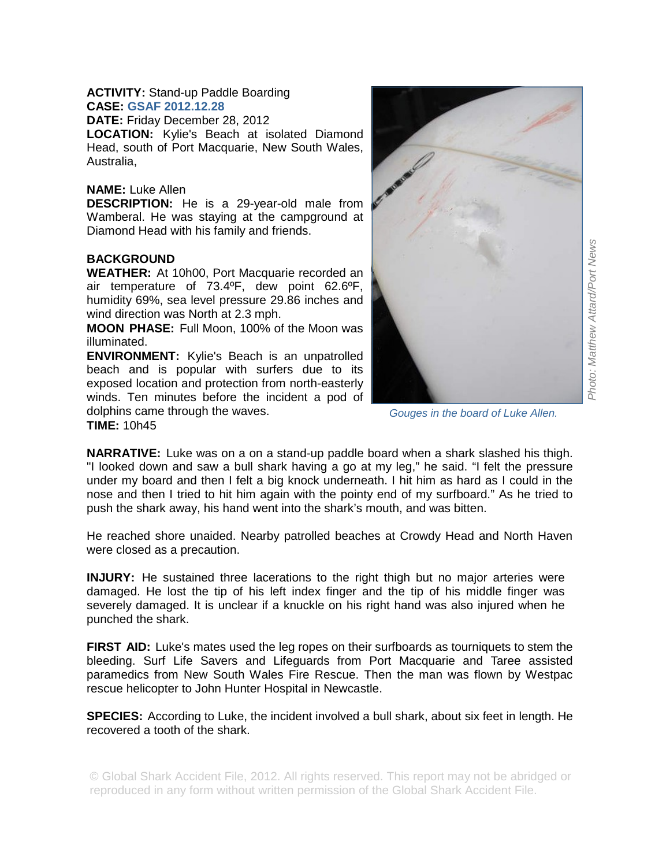## **ACTIVITY:** Stand-up Paddle Boarding **CASE: GSAF 2012.12.28**

**DATE:** Friday December 28, 2012

**LOCATION:** Kylie's Beach at isolated Diamond Head, south of Port Macquarie, New South Wales, Australia,

## **NAME:** Luke Allen

**DESCRIPTION:** He is a 29-year-old male from Wamberal. He was staying at the campground at Diamond Head with his family and friends.

## **BACKGROUND**

**WEATHER:** At 10h00, Port Macquarie recorded an air temperature of 73.4ºF, dew point 62.6ºF, humidity 69%, sea level pressure 29.86 inches and wind direction was North at 2.3 mph.

**MOON PHASE:** Full Moon, 100% of the Moon was illuminated.

**ENVIRONMENT:** Kylie's Beach is an unpatrolled beach and is popular with surfers due to its exposed location and protection from north-easterly winds. Ten minutes before the incident a pod of dolphins came through the waves. **TIME:** 10h45



*Gouges in the board of Luke Allen.* 

**NARRATIVE:** Luke was on a on a stand-up paddle board when a shark slashed his thigh. "I looked down and saw a bull shark having a go at my leg," he said. "I felt the pressure under my board and then I felt a big knock underneath. I hit him as hard as I could in the nose and then I tried to hit him again with the pointy end of my surfboard." As he tried to push the shark away, his hand went into the shark's mouth, and was bitten.

He reached shore unaided. Nearby patrolled beaches at Crowdy Head and North Haven were closed as a precaution.

**INJURY:** He sustained three lacerations to the right thigh but no major arteries were damaged. He lost the tip of his left index finger and the tip of his middle finger was severely damaged. It is unclear if a knuckle on his right hand was also injured when he punched the shark.

**FIRST AID:** Luke's mates used the leg ropes on their surfboards as tourniquets to stem the bleeding. Surf Life Savers and Lifeguards from Port Macquarie and Taree assisted paramedics from New South Wales Fire Rescue. Then the man was flown by Westpac rescue helicopter to John Hunter Hospital in Newcastle.

**SPECIES:** According to Luke, the incident involved a bull shark, about six feet in length. He recovered a tooth of the shark.

© Global Shark Accident File, 2012. All rights reserved. This report may not be abridged or reproduced in any form without written permission of the Global Shark Accident File.